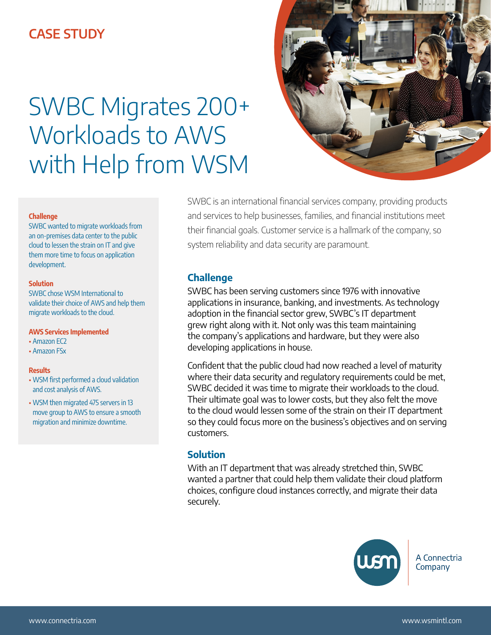# **CASE STUDY**

# SWBC Migrates 200+ Workloads to AWS with Help from WSM



#### **Challenge**

SWBC wanted to migrate workloads from an on-premises data center to the public cloud to lessen the strain on IT and give them more time to focus on application development.

#### **Solution**

SWBC chose WSM International to validate their choice of AWS and help them migrate workloads to the cloud.

#### **AWS Services Implemented**

- Amazon EC2
- Amazon FSx

#### **Results**

- WSM first performed a cloud validation and cost analysis of AWS.
- WSM then migrated 475 servers in 13 move group to AWS to ensure a smooth migration and minimize downtime.

SWBC is an international financial services company, providing products and services to help businesses, families, and financial institutions meet their financial goals. Customer service is a hallmark of the company, so system reliability and data security are paramount.

## **Challenge**

SWBC has been serving customers since 1976 with innovative applications in insurance, banking, and investments. As technology adoption in the financial sector grew, SWBC's IT department grew right along with it. Not only was this team maintaining the company's applications and hardware, but they were also developing applications in house.

Confident that the public cloud had now reached a level of maturity where their data security and regulatory requirements could be met, SWBC decided it was time to migrate their workloads to the cloud. Their ultimate goal was to lower costs, but they also felt the move to the cloud would lessen some of the strain on their IT department so they could focus more on the business's objectives and on serving customers.

# **Solution**

With an IT department that was already stretched thin, SWBC wanted a partner that could help them validate their cloud platform choices, configure cloud instances correctly, and migrate their data securely.